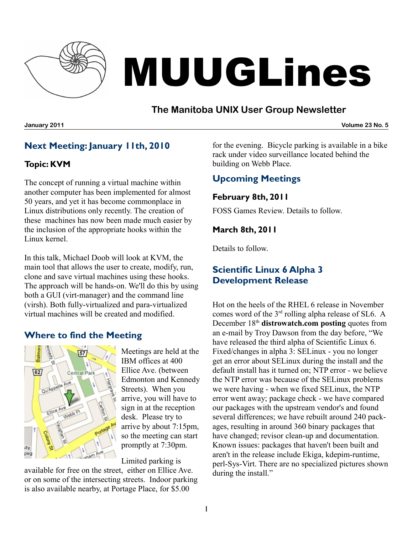

# MUUGLines

## **The Manitoba UNIX User Group Newsletter**

**January 2011 Volume 23 No. 5**

# **Next Meeting: January 11th, 2010**

#### **Topic: KVM**

The concept of running a virtual machine within another computer has been implemented for almost 50 years, and yet it has become commonplace in Linux distributions only recently. The creation of these machines has now been made much easier by the inclusion of the appropriate hooks within the Linux kernel.

In this talk, Michael Doob will look at KVM, the main tool that allows the user to create, modify, run, clone and save virtual machines using these hooks. The approach will be hands-on. We'll do this by using both a GUI (virt-manager) and the command line (virsh). Both fully-virtualized and para-virtualized virtual machines will be created and modified.

#### **Where to find the Meeting**



Meetings are held at the IBM offices at 400 Ellice Ave. (between Edmonton and Kennedy Streets). When you arrive, you will have to sign in at the reception desk. Please try to arrive by about 7:15pm, so the meeting can start promptly at 7:30pm.

Limited parking is

available for free on the street, either on Ellice Ave. or on some of the intersecting streets. Indoor parking is also available nearby, at Portage Place, for \$5.00

for the evening. Bicycle parking is available in a bike rack under video surveillance located behind the building on Webb Place.

# **Upcoming Meetings**

#### **February 8th, 2011**

FOSS Games Review. Details to follow.

#### **March 8th, 2011**

Details to follow.

## **Scientific Linux 6 Alpha 3 Development Release**

Hot on the heels of the RHEL 6 release in November comes word of the 3rd rolling alpha release of SL6. A December 18th **[distrowatch.com posting](http://distrowatch.com/6410)** quotes from an e-mail by Troy Dawson from the day before, "We have released the third alpha of Scientific Linux 6. Fixed/changes in alpha 3: SELinux - you no longer get an error about SELinux during the install and the default install has it turned on; NTP error - we believe the NTP error was because of the SELinux problems we were having - when we fixed SELinux, the NTP error went away; package check - we have compared our packages with the upstream vendor's and found several differences; we have rebuilt around 240 packages, resulting in around 360 binary packages that have changed; revisor clean-up and documentation. Known issues: packages that haven't been built and aren't in the release include Ekiga, kdepim-runtime, perl-Sys-Virt. There are no specialized pictures shown during the install."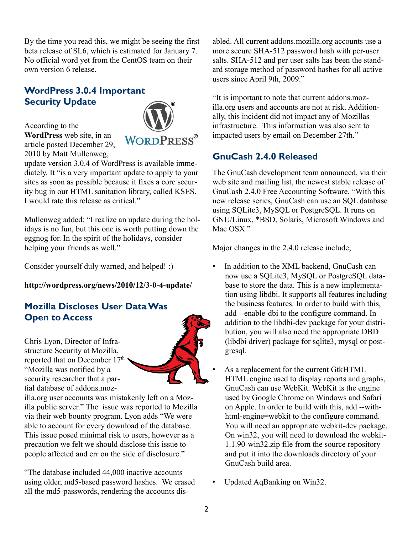By the time you read this, we might be seeing the first beta release of SL6, which is estimated for January 7. No official word yet from the CentOS team on their own version 6 release.

#### **WordPress 3.0.4 Important Security Update**

According to the **[WordPress](http://wordpress.org/news/2010/12/3-0-4-update/)** web site, in an article posted December 29, 2010 by Matt Mullenweg,



update version 3.0.4 of WordPress is available immediately. It "is a very important update to apply to your sites as soon as possible because it fixes a core security bug in our HTML sanitation library, called KSES. I would rate this release as critical."

Mullenweg added: "I realize an update during the holidays is no fun, but this one is worth putting down the eggnog for. In the spirit of the holidays, consider helping your friends as well."

Consider yourself duly warned, and helped! :)

**<http://wordpress.org/news/2010/12/3-0-4-update/>**

## **Mozilla Discloses User Data Was Open to Access**

Chris Lyon, Director of Infrastructure Security at Mozilla, reported that on December 17<sup>th</sup> "Mozilla was notified by a security researcher that a partial database of addons.moz-



illa.org user accounts was mistakenly left on a Mozilla public server." The issue was reported to Mozilla via their web bounty program. Lyon adds "We were able to account for every download of the database. This issue posed minimal risk to users, however as a precaution we felt we should disclose this issue to people affected and err on the side of disclosure."

"The database included 44,000 inactive accounts using older, md5-based password hashes. We erased all the md5-passwords, rendering the accounts disabled. All current addons.mozilla.org accounts use a more secure SHA-512 password hash with per-user salts. SHA-512 and per user salts has been the standard storage method of password hashes for all active users since April 9th, 2009."

"It is important to note that current addons.mozilla.org users and accounts are not at risk. Additionally, this incident did not impact any of Mozillas infrastructure. This information was also sent to impacted users by email on December 27th."

## **GnuCash 2.4.0 Released**

The GnuCash development team announced, via their web site and mailing list, the newest stable release of GnuCash 2.4.0 Free Accounting Software. "With this new release series, GnuCash can use an SQL database using SQLite3, MySQL or PostgreSQL. It runs on GNU/Linux, \*BSD, Solaris, Microsoft Windows and Mac OSX<sup>"</sup>

Major changes in the 2.4.0 release include;

- In addition to the XML backend, GnuCash can now use a SQLite3, MySQL or PostgreSQL database to store the data. This is a new implementation using libdbi. It supports all features including the business features. In order to build with this, add --enable-dbi to the configure command. In addition to the libdbi-dev package for your distribution, you will also need the appropriate DBD (libdbi driver) package for sqlite3, mysql or postgresql.
- As a replacement for the current GtkHTML HTML engine used to display reports and graphs, GnuCash can use WebKit. WebKit is the engine used by Google Chrome on Windows and Safari on Apple. In order to build with this, add --withhtml-engine=webkit to the configure command. You will need an appropriate webkit-dev package. On win32, you will need to download the webkit-1.1.90-win32.zip file from the source repository and put it into the downloads directory of your GnuCash build area.
- Updated AqBanking on Win32.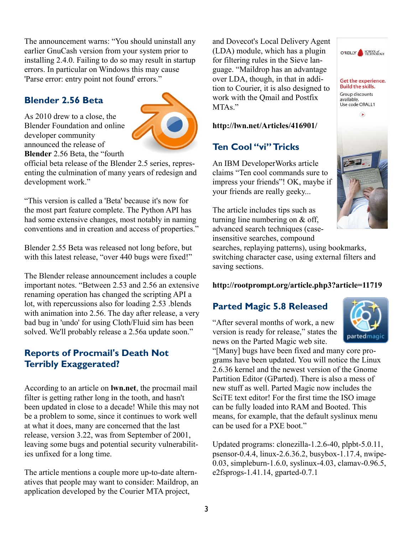The announcement warns: "You should uninstall any earlier GnuCash version from your system prior to installing 2.4.0. Failing to do so may result in startup errors. In particular on Windows this may cause 'Parse error: entry point not found' errors."

#### **Blender 2.56 Beta**

As 2010 drew to a close, the Blender Foundation and online developer community announced the release of **Blender** 2.56 Beta, the "fourth



official beta release of the Blender 2.5 series, representing the culmination of many years of redesign and development work."

"This version is called a 'Beta' because it's now for the most part feature complete. The Python API has had some extensive changes, most notably in naming conventions and in creation and access of properties."

Blender 2.55 Beta was released not long before, but with this latest release, "over 440 bugs were fixed!"

The Blender release announcement includes a couple important notes. "Between 2.53 and 2.56 an extensive renaming operation has changed the scripting API a lot, with repercussions also for loading 2.53 .blends with animation into 2.56. The day after release, a very bad bug in 'undo' for using Cloth/Fluid sim has been solved. We'll probably release a 2.56a update soon."

#### **Reports of Procmail's Death Not Terribly Exaggerated?**

According to an article on **[lwn.net](http://lwn.net/Articles/416901/)**, the procmail mail filter is getting rather long in the tooth, and hasn't been updated in close to a decade! While this may not be a problem to some, since it continues to work well at what it does, many are concerned that the last release, version 3.22, was from September of 2001, leaving some bugs and potential security vulnerabilities unfixed for a long time.

The article mentions a couple more up-to-date alternatives that people may want to consider: Maildrop, an application developed by the Courier MTA project,

and Dovecot's Local Delivery Agent (LDA) module, which has a plugin for filtering rules in the Sieve language. "Maildrop has an advantage over LDA, though, in that in addition to Courier, it is also designed to work with the Qmail and Postfix MTA<sub>s</sub>"

#### **<http://lwn.net/Articles/416901/>**

## **Ten Cool "vi" Tricks**

An IBM DeveloperWorks article claims "Ten cool commands sure to impress your friends"! OK, maybe if your friends are really geeky...

The article includes tips such as turning line numbering on & off, advanced search techniques (caseinsensitive searches, compound

searches, replaying patterns), using bookmarks, switching character case, using external filters and saving sections.

#### **<http://rootprompt.org/article.php3?article=11719>**

#### **Parted Magic 5.8 Released**

"After several months of work, a new version is ready for release," states the news on the Parted Magic web site.



"[Many] bugs have been fixed and many core programs have been updated. You will notice the Linux 2.6.36 kernel and the newest version of the Gnome Partition Editor (GParted). There is also a mess of new stuff as well. Parted Magic now includes the SciTE text editor! For the first time the ISO image can be fully loaded into RAM and Booted. This means, for example, that the default syslinux menu can be used for a PXE boot."

Updated programs: clonezilla-1.2.6-40, plpbt-5.0.11, psensor-0.4.4, linux-2.6.36.2, busybox-1.17.4, nwipe-0.03, simpleburn-1.6.0, syslinux-4.03, clamav-0.96.5, e2fsprogs-1.41.14, gparted-0.7.1